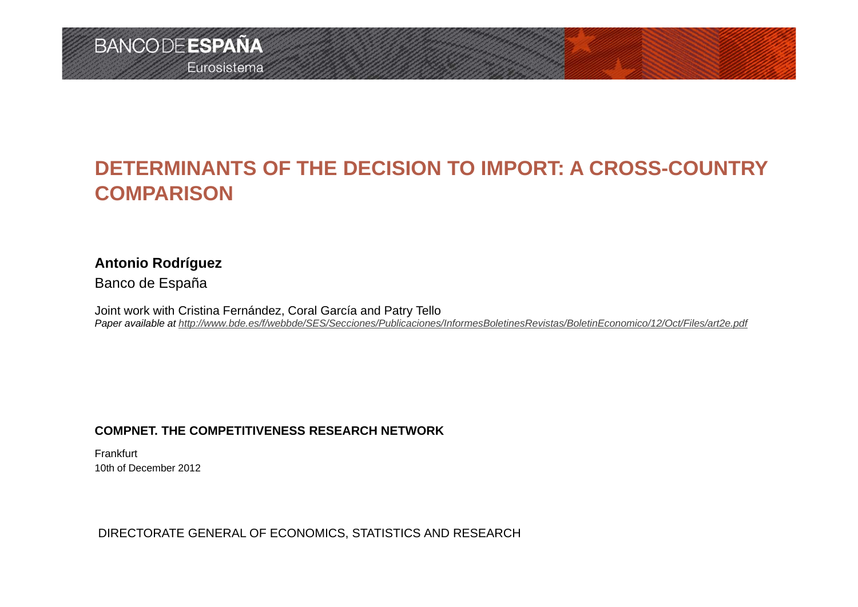## **DETERMINANTS OF THE DECISION TO IMPORT: A CROSS-COUNTRY COMPARISON**

### **Antonio Rodríguez**

Banco de España

Joint work with Cristina Fernández, Coral García and Patry Tello *Paper available at http://www.bde.es/f/webbde/SES/Secciones/Publicaciones/InformesBoletinesRevistas/BoletinEconomico/12/Oct/Files/art2e.pdf*

### **COMPNET. THE COMPETITIVENESS RESEARCH NETWORK**

Frankfurt10th of December 2012

### DIRECTORATE GENERAL OF ECONOMICS, STATISTICS AND RESEARCH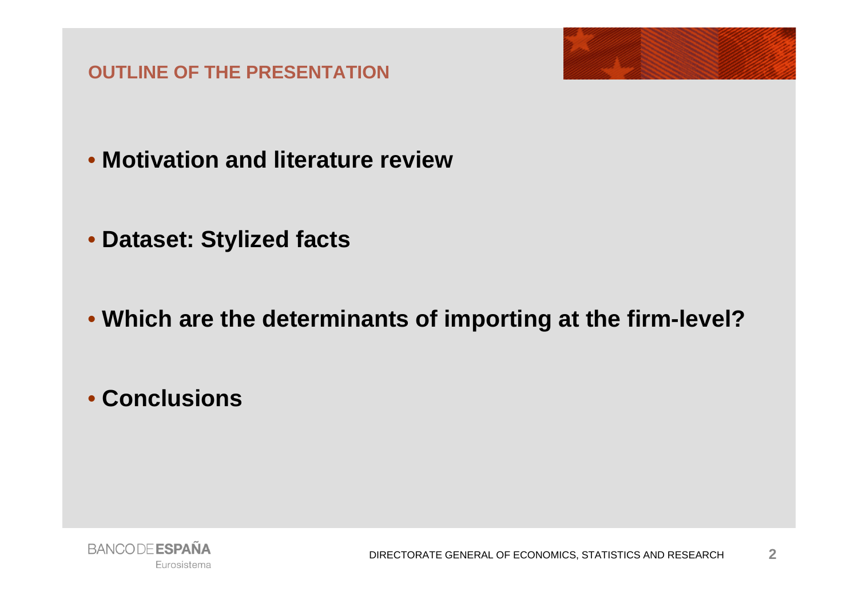**OUTLINE OF THE PRESENTATION**



- **Motivation and literature review**
- **Dataset: Stylized facts**
- **Which are the determinants of importing at the firm-level?**
- **Conclusions**

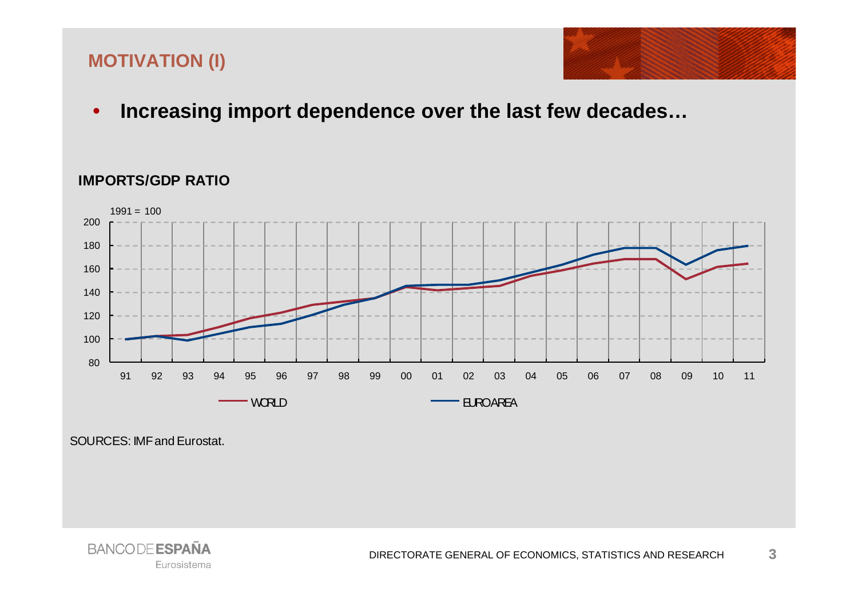### **MOTIVATION (I)**



 $\bullet$ **Increasing import dependence over the last few decades…**

### **IMPORTS/GDP RATIO**



SOURCES: IMF and Eurostat.

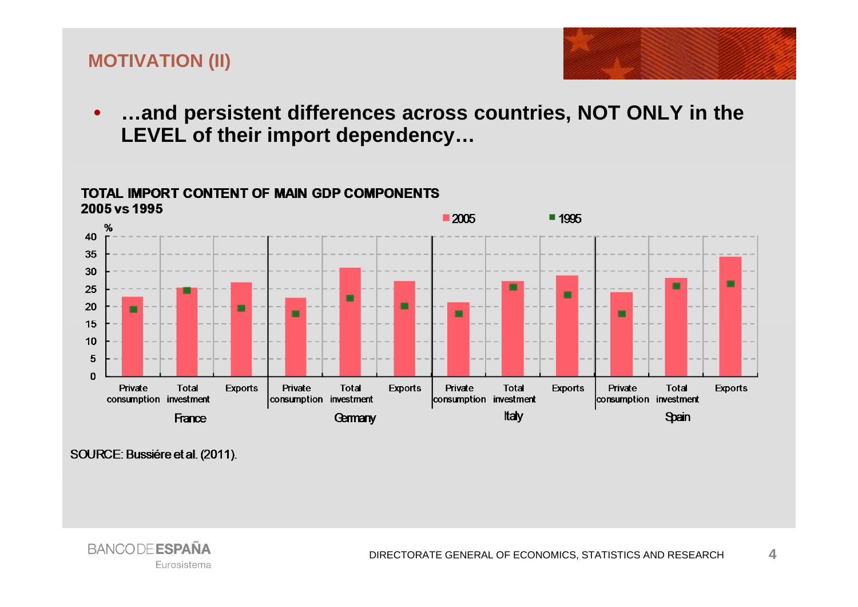### **MOTIVATION (II)**

•

 **…and persistent differences across countries, NOT ONLY in the LEVEL of their import dependency…**

### **TOTAL IMPORT CONTENT OF MAIN GDP COMPONENTS**



SOURCE: Bussiére et al. (2011).

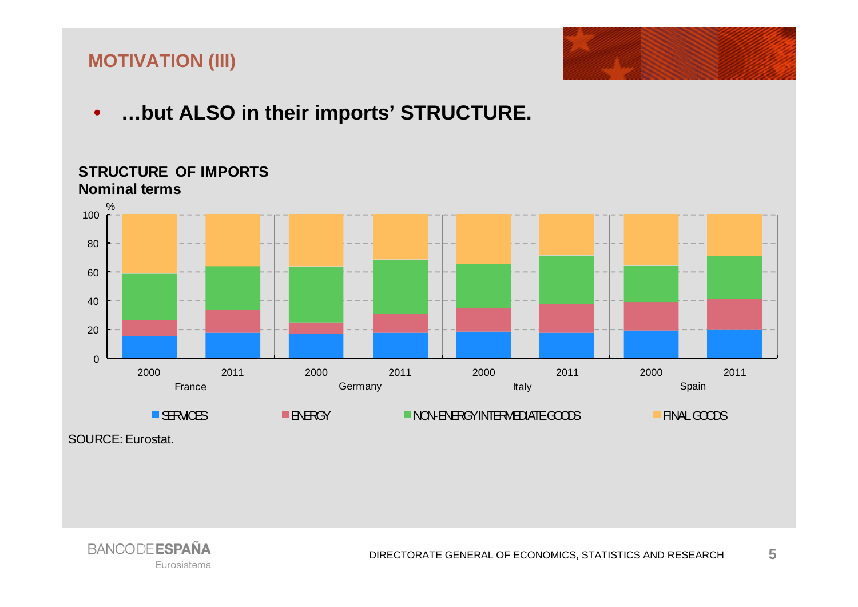### **MOTIVATION (III)**



•**…but ALSO in their imports' STRUCTURE.**



**STRUCTURE OF IMPORTSNominal terms**

SOURCE: Eurostat.

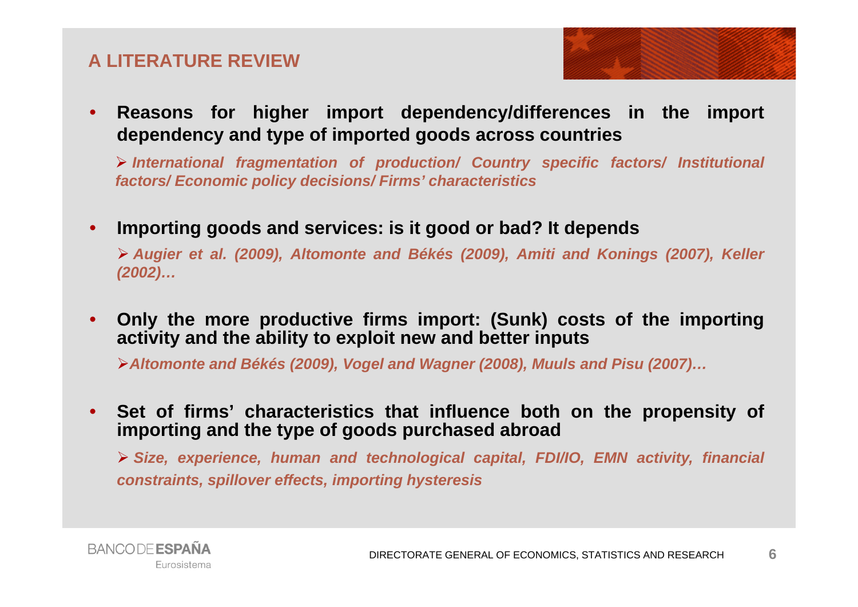### **A LITERATURE REVIEW**



 $\bullet$  **Reasons for higher import dependency/differences in the import dependency and type of imported goods across countries**

 *International fragmentation of production/ Country specific factors/ Institutional factors/ Economic policy decisions/ Firms' characteristics*

 $\bullet$ **Importing goods and services: is it good or bad? It depends**

> Augier et al. (2009), Altomonte and Békés (2009), Amiti and Konings (2007), Keller *(2002)…*

• **Only the more productive firms import: (Sunk) costs of the importing activity and the ability to exploit new and better inputs**

> Altomonte and Békés (2009), Vogel and Wagner (2008), Muuls and Pisu (2007)...

• **Set of firms' characteristics that influence both on the propensity of importing and the type of goods purchased abroad**

 *Size, experience, human and technological capital, FDI/IO, EMN activity, financial constraints, spillover effects, importing hysteresis*

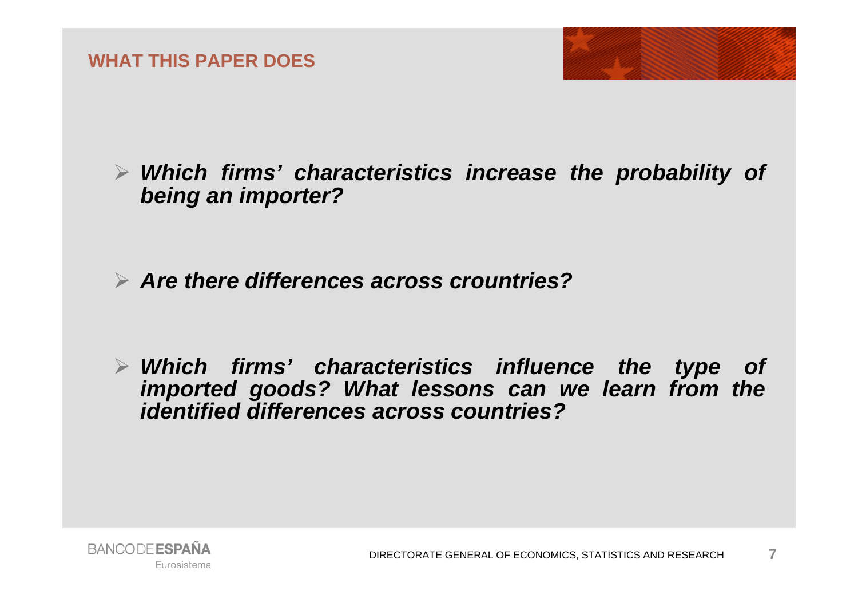

- *Which firms' characteristics increase the probability of being an importer?*
- *Are there differences across crountries?*
- *Which firms' characteristics influence the type of imported goods? What lessons can we learn from the identified differences across countries?*

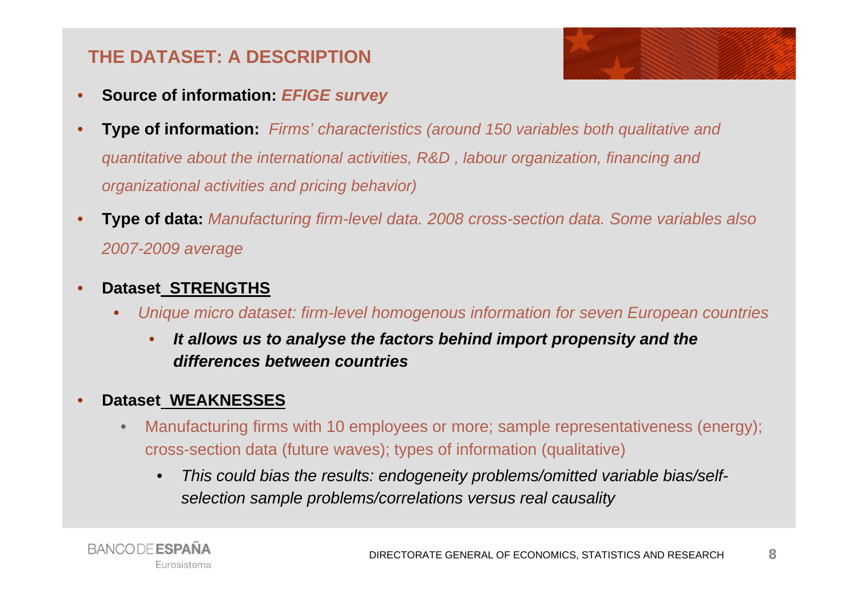## **THE DATASET: A DESCRIPTION**

- •**Source of information:** *EFIGE survey*
- • **Type of information:** *Firms' characteristics (around 150 variables both qualitative and quantitative about the international activities, R&D , labour organization, financing and organizational activities and pricing behavior)*
- • **Type of data:** *Manufacturing firm-level data. 2008 cross-section data. Some variables also 2007-2009 average*
- • **Dataset STRENGTHS**
	- • *Unique micro dataset: firm-level homogenous information for seven European countries*
		- • *It allows us to analyse the factors behind import propensity and the differences between countries*
- • **Dataset WEAKNESSES**
	- • Manufacturing firms with 10 employees or more; sample representativeness (energy); cross-section data (future waves); types of information (qualitative)
		- $\bullet$  *This could bias the results: endogeneity problems/omitted variable bias/selfselection sample problems/correlations versus real causality*

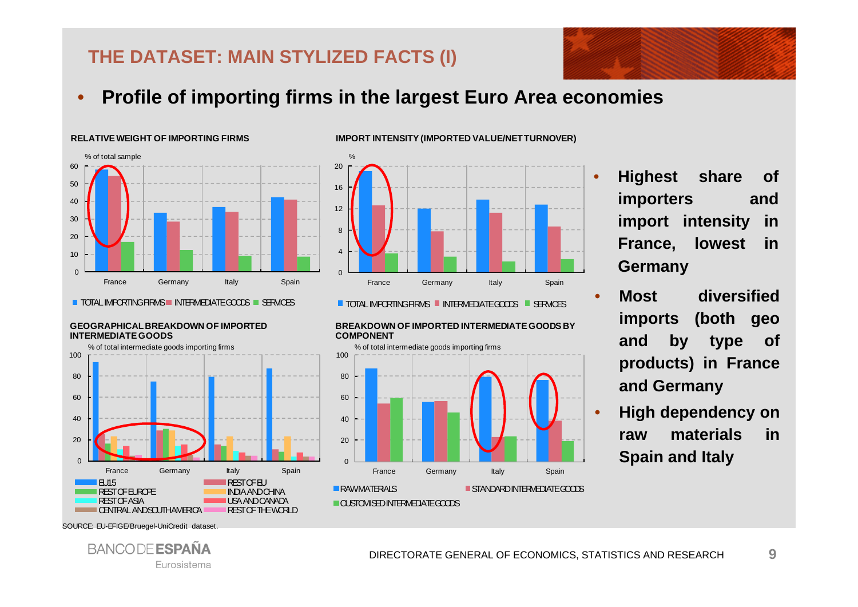## **THE DATASET: MAIN STYLIZED FACTS (I)**

 $\bullet$ **Profile of importing firms in the largest Euro Area economies**

### $\Omega$ 10 2030405060France Germany Italy Spain % of total sample

**RELATIVE WEIGHT OF IMPORTING FIRMS** 

#### TOTAL IMPORTING FIRMS III INTERMEDIATE GOODS III SERVICES

#### **GEOGRAPHICAL BREAKDOWN OF IMPORTED INTERMEDIATE GOODS**





**IMPORT INTENSITY (IMPORTED VALUE/NET TURNOVER)**

TOTAL IMPORTING FIRMS III INTERMEDIATE GOODS III SERVICES

**BREAKDOWN OF IMPORTED INTERMEDIATE GOODS BY COMPONENT** 



 **Highest share of importers and import intensity in France, lowest in Germany**

- **Most diversifiedimports (both geo and by type of products) in France and Germany**
- • **High dependency on raw materials inSpain and Italy**

SOURCE: EU-EFIGE/Bruegel-UniCredit dataset.



•

•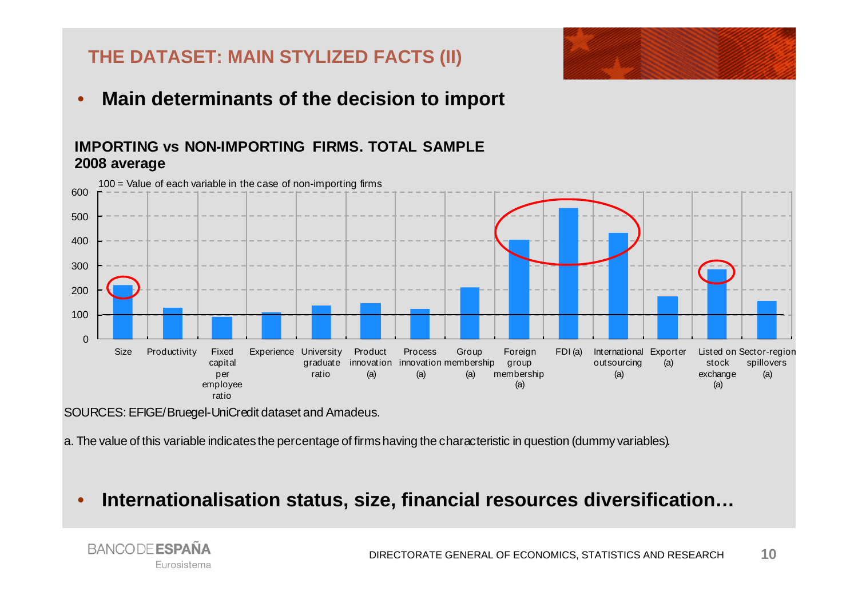

## **THE DATASET: MAIN STYLIZED FACTS (II)**

•**Main determinants of the decision to import**

### **IMPORTING vs NON-IMPORTING FIRMS. TOTAL SAMPLE2008 average**



SOURCES: EFIGE/Bruegel-UniCredit dataset and Amadeus.

a. The value of this variable indicates the percentage of firms having the characteristic in question (dummy variables).

•**Internationalisation status, size, financial resources diversification…**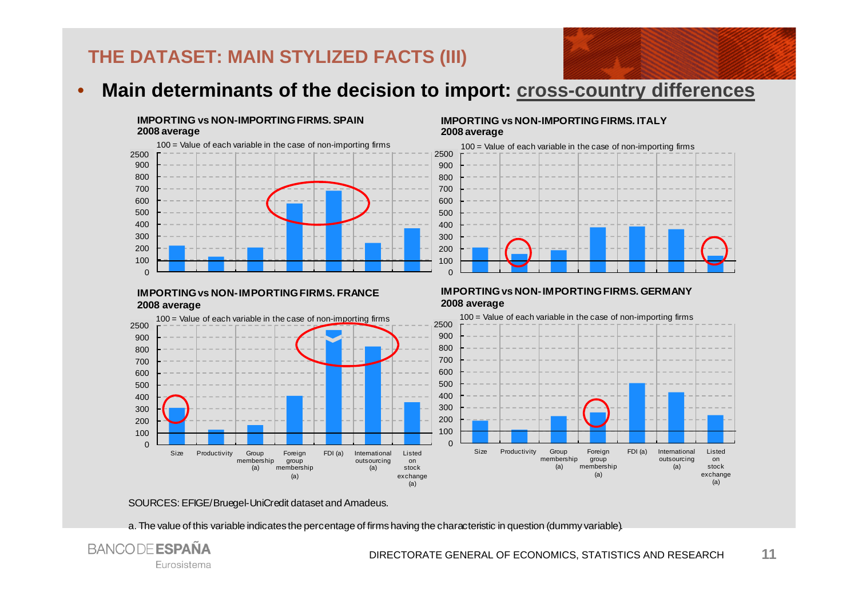## **THE DATASET: MAIN STYLIZED FACTS (III)**



#### **IMPORTING vs NON-IMPORTING FIRMS. SPAIN2008 average**



#### **IMPORTING vs NON-IMPORTING FIRMS. ITALY2008 average**



#### **IMPORTING vs NON-IMPORTING FIRMS. FRANCE2008 average**



#### **IMPORTING vs NON-IMPORTING FIRMS. GERMANY2008 average**



#### SOURCES: EFIGE/Bruegel-UniCredit dataset and Amadeus.

a. The value of this variable indicates the percentage of firms having the characteristic in question (dummy variable).

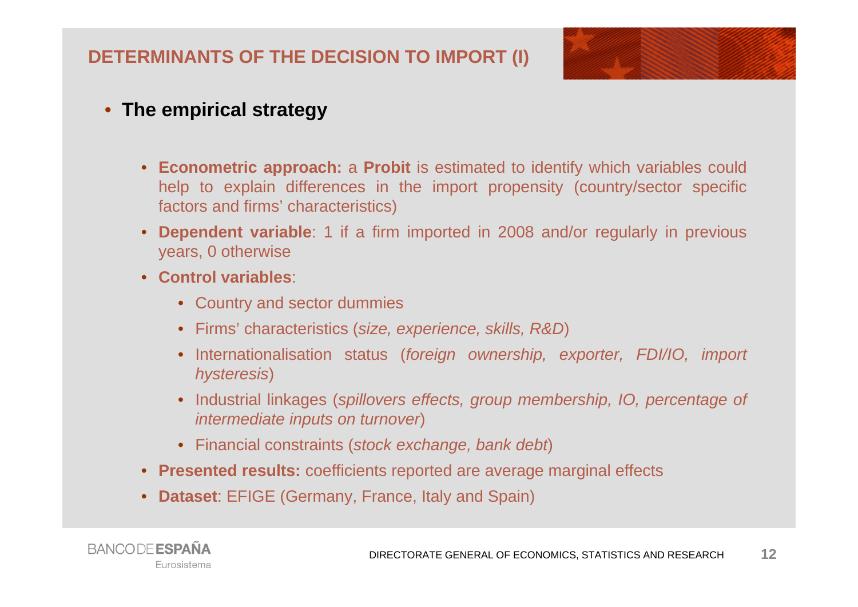### **DETERMINANTS OF THE DECISION TO IMPORT (I)**



### • **The empirical strategy**

- **Econometric approach:** <sup>a</sup> **Probit** is estimated to identify which variables could help to explain differences in the import propensity (country/sector specific factors and firms' characteristics)
- •**Dependent variable**: 1 if a firm imported in 2008 and/or regularly in previous years, 0 otherwise
- **Control variables**:
	- Country and sector dummies
	- Firms' characteristics (*size, experience, skills, R&D*)
	- Internationalisation status (*foreign ownership, exporter, FDI/IO, import hysteresis*)
	- Industrial linkages (*spillovers effects, group membership, IO, percentage of intermediate inputs on turnover*)
	- Financial constraints (*stock exchange, bank debt*)
- **Presented results:** coefficients reported are average marginal effects
- **Dataset**: EFIGE (Germany, France, Italy and Spain)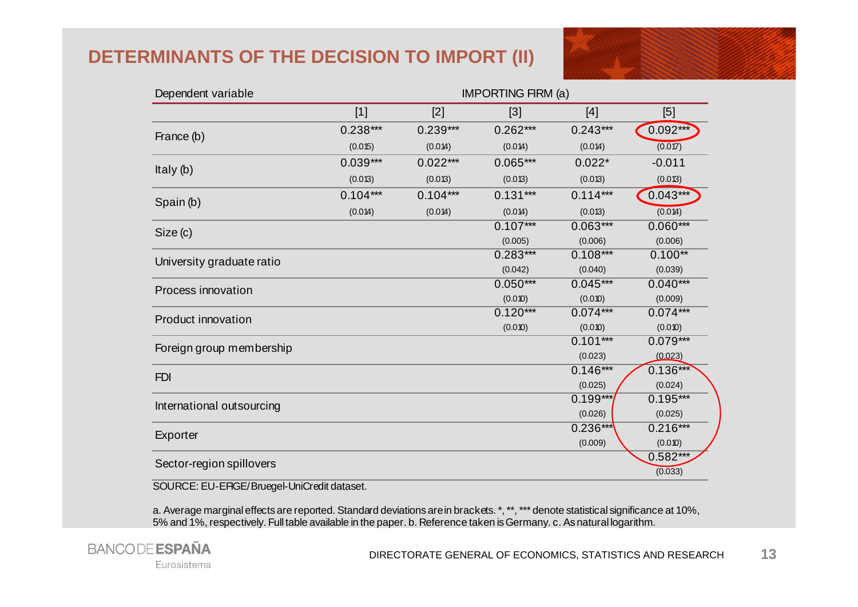### **DETERMINANTS OF THE DECISION TO IMPORT (II)**



| Dependent variable        | <b>IMPORTING FIRM (a)</b> |            |            |            |            |  |
|---------------------------|---------------------------|------------|------------|------------|------------|--|
|                           | $[1]$                     | $[2]$      | $[3]$      | $[4]$      | [5]        |  |
|                           | $0.238***$                | $0.239***$ | $0.262***$ | $0.243***$ | $0.092***$ |  |
| France (b)                | (0.015)                   | (0.014)    | (0.014)    | (0.014)    | (0.017)    |  |
| Italy (b)                 | $0.039***$                | $0.022***$ | $0.065***$ | $0.022*$   | $-0.011$   |  |
|                           | (0.013)                   | (0.013)    | (0.013)    | (0.013)    | (0.013)    |  |
| Spain (b)                 | $0.104***$                | $0.104***$ | $0.131***$ | $0.114***$ | $0.043***$ |  |
|                           | (0.014)                   | (0.014)    | (0.014)    | (0.013)    | (0.014)    |  |
|                           |                           |            | $0.107***$ | $0.063***$ | $0.060***$ |  |
| Size (c)                  |                           |            | (0.005)    | (0.006)    | (0.006)    |  |
|                           |                           |            | $0.283***$ | $0.108***$ | $0.100**$  |  |
| University graduate ratio |                           |            | (0.042)    | (0.040)    | (0.039)    |  |
| Process innovation        |                           |            | $0.050***$ | $0.045***$ | $0.040***$ |  |
|                           |                           |            | (0.010)    | (0.010)    | (0.009)    |  |
| <b>Product innovation</b> |                           |            | $0.120***$ | $0.074***$ | $0.074***$ |  |
|                           |                           |            | (0.010)    | (0.010)    | (0.010)    |  |
| Foreign group membership  |                           |            |            | $0.101***$ | $0.079***$ |  |
|                           |                           |            |            | (0.023)    | (0.023)    |  |
| <b>FDI</b>                |                           |            |            | $0.146***$ | $0.136***$ |  |
|                           |                           |            |            | (0.025)    | (0.024)    |  |
| International outsourcing |                           |            |            | $0.199***$ | $0.195***$ |  |
|                           |                           |            |            | (0.026)    | (0.025)    |  |
|                           |                           |            |            | $0.236***$ | $0.216***$ |  |
| Exporter                  |                           |            |            | (0.009)    | (0.010)    |  |
|                           |                           |            |            |            | $0.582***$ |  |
| Sector-region spillovers  |                           |            |            |            | (0.033)    |  |

SOURCE: EU-EFIGE/Bruegel-UniCredit dataset.

a. Average marginal effects are reported. Standard deviations are in brackets. \*, \*\*, \*\*\* denote statistical significance at 10%, 5% and 1%, respectively. Full table available in the paper. b. Reference taken is Germany. c. As natural logarithm.

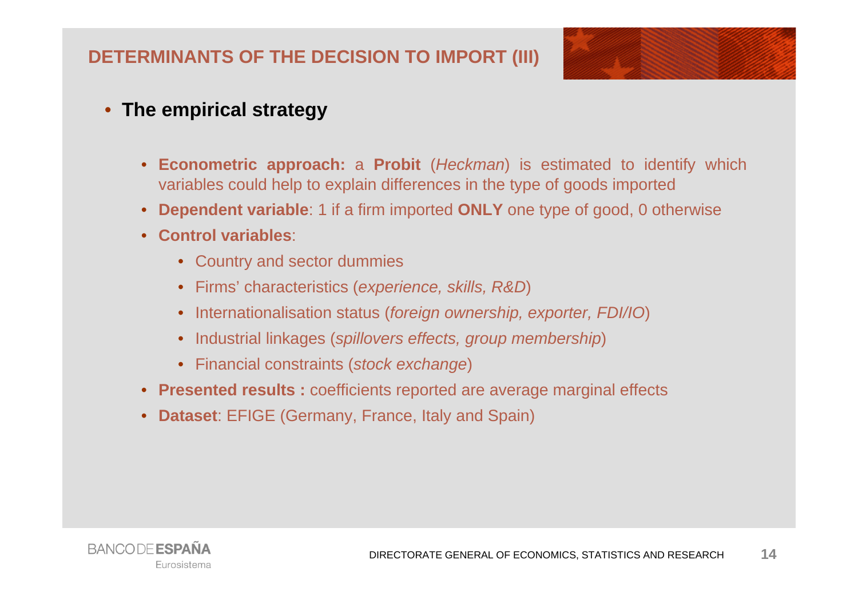### **DETERMINANTS OF THE DECISION TO IMPORT (III)**



### • **The empirical strategy**

- **Econometric approach:** <sup>a</sup> **Probit** (*Heckman*) is estimated to identify which variables could help to explain differences in the type of goods imported
- **Dependent variable**: 1 if <sup>a</sup> firm imported **ONLY** one type of good, 0 otherwise
- **Control variables**:
	- Country and sector dummies
	- Firms' characteristics (*experience, skills, R&D*)
	- Internationalisation status (*foreign ownership, exporter, FDI/IO*)
	- Industrial linkages (*spillovers effects, group membership*)
	- Financial constraints (*stock exchange*)
- **Presented results :** coefficients reported are average marginal effects
- **Dataset**: EFIGE (Germany, France, Italy and Spain)

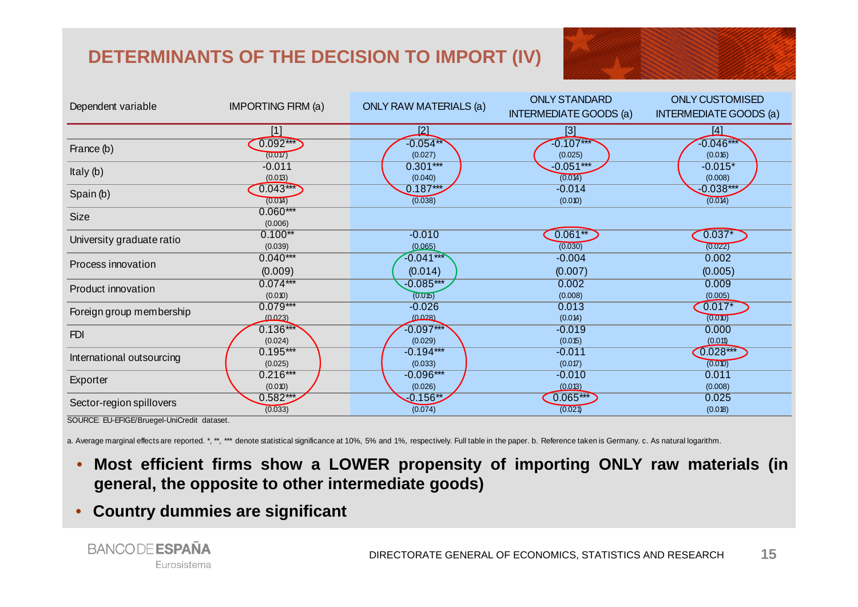## **DETERMINANTS OF THE DECISION TO IMPORT (IV)**

|                           |                           |                               | <b>ONLY STANDARD</b>          | <b>ONLY CUSTOMISED</b>        |
|---------------------------|---------------------------|-------------------------------|-------------------------------|-------------------------------|
| Dependent variable        | <b>IMPORTING FIRM (a)</b> | <b>ONLY RAW MATERIALS (a)</b> | <b>INTERMEDIATE GOODS (a)</b> | <b>INTERMEDIATE GOODS (a)</b> |
|                           | $[1]$                     | <u> [2]</u>                   | [3]                           | <u> 141</u>                   |
| France (b)                | $0.092***$                | $-0.054**$                    | $-0.107***$                   | $-0.046***$                   |
|                           | (0.017)                   | (0.027)                       | (0.025)                       | (0.016)                       |
| Italy $(b)$<br>Spain (b)  | $-0.011$                  | $0.301***$                    | $-0.051***$<br>(0.014)        | $-0.015*$                     |
|                           | (0.013)<br>$0.043***$     | (0.040)<br>$0.187***$         | $-0.014$                      | (0.008)<br>$-0.038***$        |
|                           | (0.014)                   | (0.038)                       | (0.010)                       | (0.014)                       |
| <b>Size</b>               | $0.060***$                |                               |                               |                               |
|                           | (0.006)                   |                               |                               |                               |
| University graduate ratio | $0.100**$                 | $-0.010$                      | $0.061**$                     | $0.037*$                      |
|                           | (0.039)                   | (0.065)                       | (0.030)                       | (0.022)                       |
| Process innovation        | $0.040***$                | $-0.041***$                   | $-0.004$                      | 0.002                         |
|                           | (0.009)                   | (0.014)                       | (0.007)                       | (0.005)                       |
| Product innovation        | $0.074***$                | $-0.085***$                   | 0.002                         | 0.009                         |
|                           | (0.010)                   | (0.015)                       | (0.008)                       | (0.005)                       |
| Foreign group membership  | $0.079***$                | $-0.026$                      | 0.013                         | $0.017*$                      |
|                           | (0.023)                   | (0.028)                       | (0.014)                       | (0.010)                       |
| <b>FDI</b>                | $0.136***$                | $-0.097***$                   | $-0.019$                      | 0.000                         |
|                           | (0.024)                   | (0.029)                       | (0.015)                       | (0.011)                       |
| International outsourcing | $0.195***$                | $-0.194***$                   | $-0.011$                      | $0.028***$                    |
|                           | (0.025)                   | (0.033)                       | (0.017)                       | (0.010)                       |
| Exporter                  | $0.216***$                | $-0.096***$                   | $-0.010$                      | 0.011                         |
|                           | (0.010)                   | (0.026)                       | (0.013)                       | (0.008)                       |

SOURCE: EU-EFIGE/Bruegel-UniCredit dataset.

Sector-region spillovers

a. Average marginal effects are reported. \*, \*\*, \*\*\* denote statistical significance at 10%, 5% and 1%, respectively. Full table in the paper. b. Reference taken is Germany. c. As natural logarithm.

•Most efficient firms show a LOWER propensity of importing ONLY raw materials (in **general, the opposite to other intermediate goods)**

 $0.582***$  0.025 0.025 0.025  $(0.033)$  (0.074) (0.074) (0.074) (0.075) (0.075) (0.075) (0.021)

•**Country dummies are significant**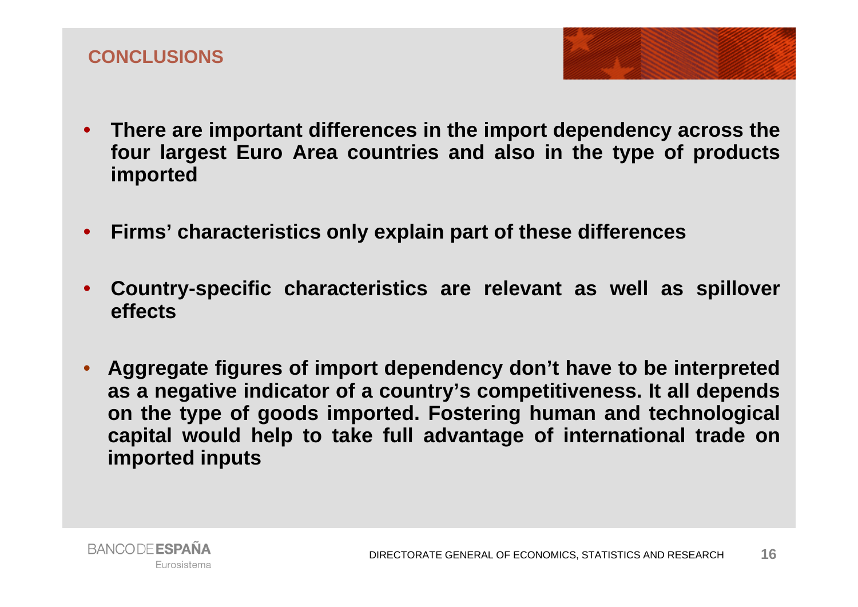



- **Firms' characteristics only explain part of these differences**
- $\bullet$  **Country-specific characteristics are relevant as well as spillover effects**
- **Aggregate figures of import dependency don't have to be interpreted as <sup>a</sup> negative indicator of <sup>a</sup> country's competitiveness. It all depends on the type of goods imported. Fostering human and technological capital would help to take full advantage of international trade on imported inputs**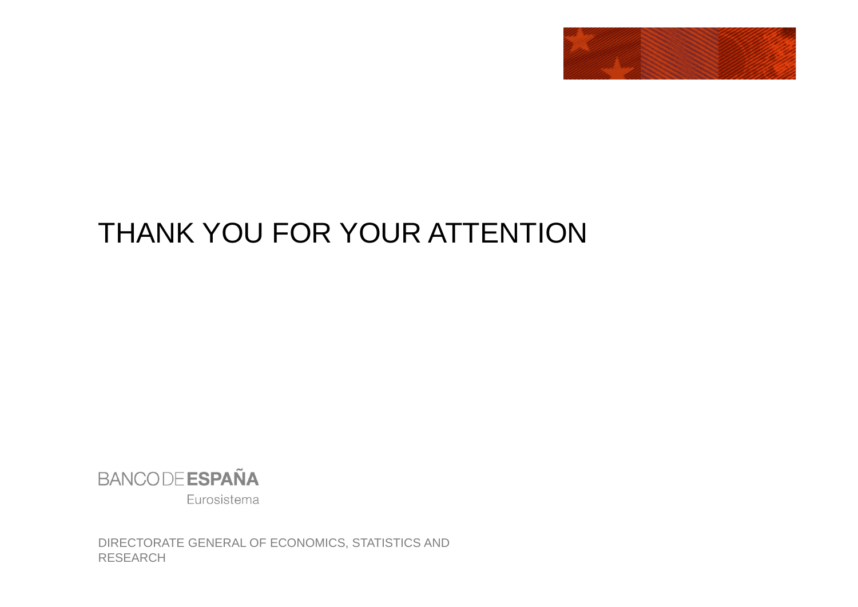

# THANK YOU FOR YOUR ATTENTION



Eurosistema

DIRECTORATE GENERAL OF ECONOMICS, STATISTICS AND RESEARCH